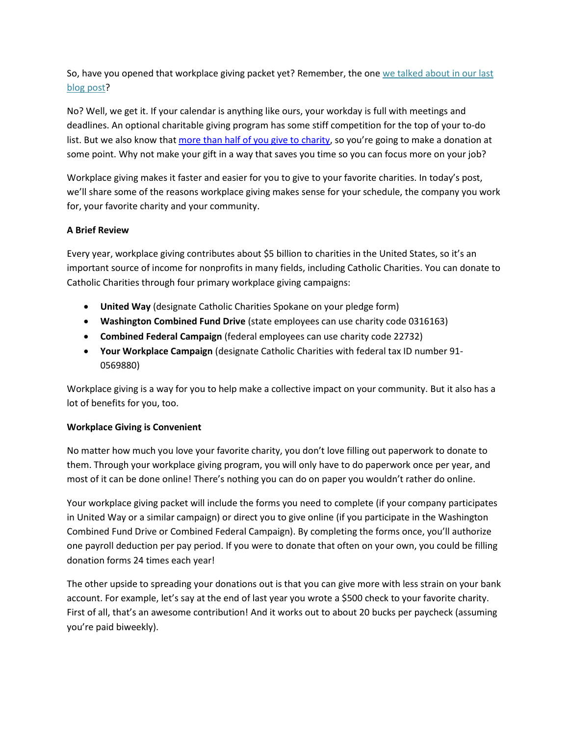So, have you opened that workplace giving packet yet? Remember, the one we talked about in our last blog post?

No? Well, we get it. If your calendar is anything like ours, your workday is full with meetings and deadlines. An optional charitable giving program has some stiff competition for the top of your to-do list. But we also know that [more than half of you give to charity](https://theconversation.com/fewer-americans-are-giving-money-to-charity-but-total-donations-are-at-record-levels-anyway-98291), so you're going to make a donation at some point. Why not make your gift in a way that saves you time so you can focus more on your job?

Workplace giving makes it faster and easier for you to give to your favorite charities. In today's post, we'll share some of the reasons workplace giving makes sense for your schedule, the company you work for, your favorite charity and your community.

# **A Brief Review**

Every year, workplace giving contributes about \$5 billion to charities in the United States, so it's an important source of income for nonprofits in many fields, including Catholic Charities. You can donate to Catholic Charities through four primary workplace giving campaigns:

- **United Way** (designate Catholic Charities Spokane on your pledge form)
- **Washington Combined Fund Drive** (state employees can use charity code 0316163)
- **Combined Federal Campaign** (federal employees can use charity code 22732)
- **Your Workplace Campaign** (designate Catholic Charities with federal tax ID number 91- 0569880)

Workplace giving is a way for you to help make a collective impact on your community. But it also has a lot of benefits for you, too.

## **Workplace Giving is Convenient**

No matter how much you love your favorite charity, you don't love filling out paperwork to donate to them. Through your workplace giving program, you will only have to do paperwork once per year, and most of it can be done online! There's nothing you can do on paper you wouldn't rather do online.

Your workplace giving packet will include the forms you need to complete (if your company participates in United Way or a similar campaign) or direct you to give online (if you participate in the Washington Combined Fund Drive or Combined Federal Campaign). By completing the forms once, you'll authorize one payroll deduction per pay period. If you were to donate that often on your own, you could be filling donation forms 24 times each year!

The other upside to spreading your donations out is that you can give more with less strain on your bank account. For example, let's say at the end of last year you wrote a \$500 check to your favorite charity. First of all, that's an awesome contribution! And it works out to about 20 bucks per paycheck (assuming you're paid biweekly).